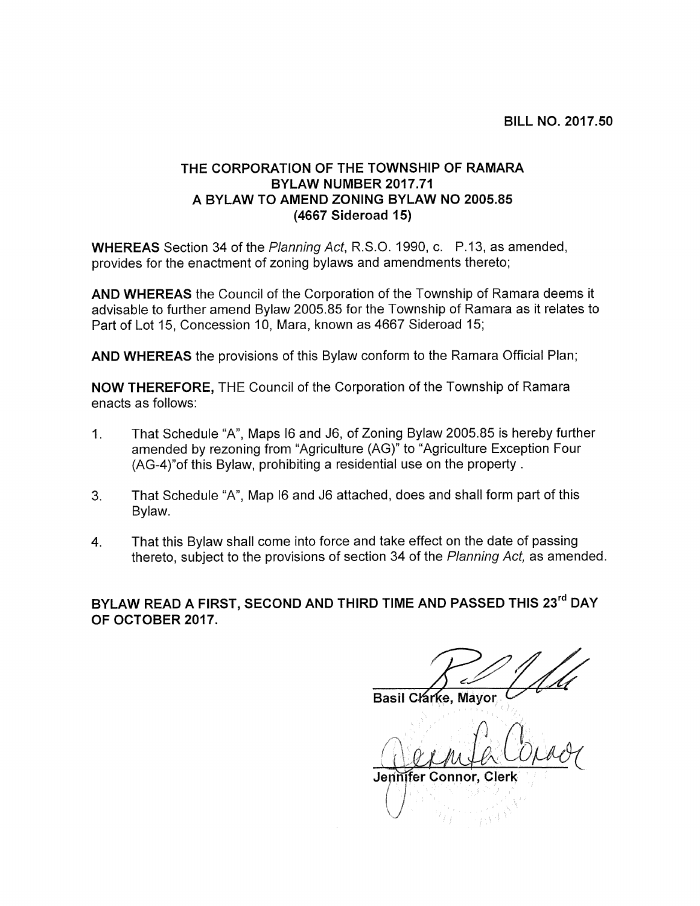## THE CORPORATION OF THE TOWNSHIP OF RAMARA BYLAW NUMBER 2017.71 A BYLAW TO AMEND ZONING BYLAW NO 2005.85 (4667 Sideroad 15)

WHEREAS Section 34 of the Planning Act, R.S.O. 1990, c. P.13, as amended, provides for the enactment of zoning bylaws and amendments thereto;

AND WHEREAS the Council of the Corporation of the Township of Ramara deems it advisable to further amend Bylaw 2005.85 for the Township of Ramara as it relates to Part of Lot 15, Concession 10, Mara, known as 4667 Sideroad 15;

AND WHEREAS the provisions of this Bylaw conform to the Ramara Official Plan;

NOW THEREFORE, THE Council of the Corporation of the Township of Ramara enacts as follows:

- 1. That Schedule "A", Maps <sup>16</sup> and J6, of Zoning Bylaw 2005.85 is hereby further amended by rezoning from "Agriculture (AG)" to "Agriculture Exception Four (AG-4)"of this Bylaw, prohibiting a residential use on the property.
- 3. That Schedule "A", Map <sup>16</sup> and J6 attached, does and shall form part of this Bylaw.
- 4. That this Bylaw shall come into force and take effect on the date of passing thereto, subject to the provisions of section 34 of the Planning Act, as amended.

BYLAW READ A FIRST, SECOND AND THIRD TIME AND PASSED THIS 23<sup>rd</sup> DAY OF OCTOBER 2017.

Basil Clárke, Mayor

 $\mathcal{D}_2$  $\alpha$  and  $\alpha$  correct

Jennifer Connor, Cler

j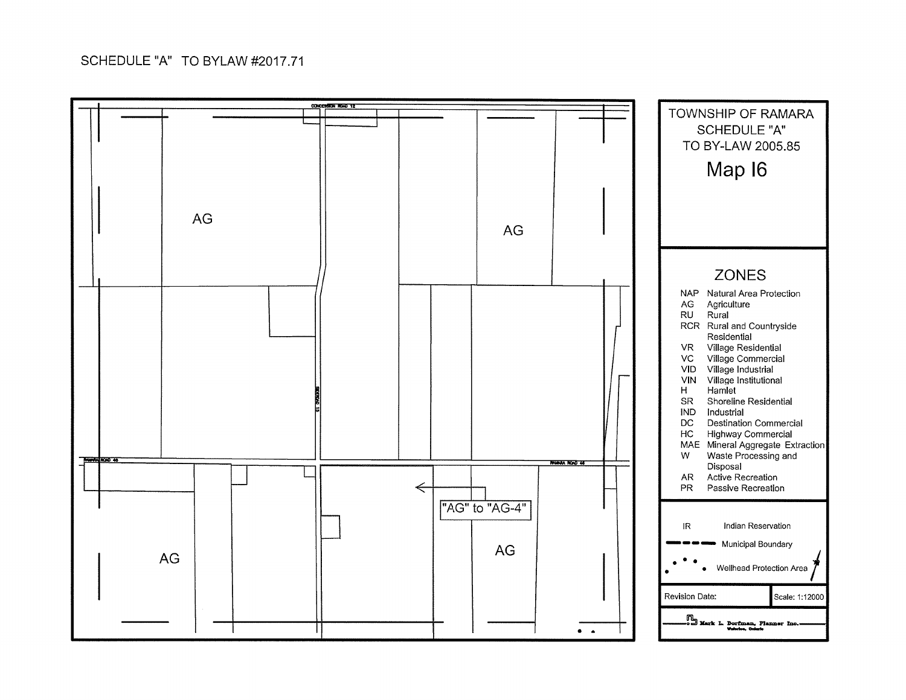